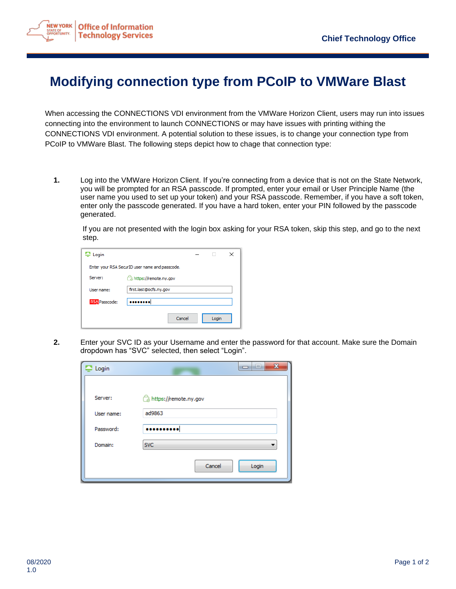

## **Modifying connection type from PCoIP to VMWare Blast**

When accessing the CONNECTIONS VDI environment from the VMWare Horizon Client, users may run into issues connecting into the environment to launch CONNECTIONS or may have issues with printing withing the CONNECTIONS VDI environment. A potential solution to these issues, is to change your connection type from PCoIP to VMWare Blast. The following steps depict how to chage that connection type:

**1.** Log into the VMWare Horizon Client. If you're connecting from a device that is not on the State Network, you will be prompted for an RSA passcode. If prompted, enter your email or User Principle Name (the user name you used to set up your token) and your RSA passcode. Remember, if you have a soft token, enter only the passcode generated. If you have a hard token, enter your PIN followed by the passcode generated.

If you are not presented with the login box asking for your RSA token, skip this step, and go to the next step.

| ₽ Login              |                                                |       | × |
|----------------------|------------------------------------------------|-------|---|
|                      | Enter your RSA SecurID user name and passcode. |       |   |
| Server:              | https://remote.ny.gov                          |       |   |
| User name:           | first.last@ocfs.ny.gov                         |       |   |
| <b>RSA</b> Passcode: |                                                |       |   |
|                      | Cancel                                         | Login |   |

**2.** Enter your SVC ID as your Username and enter the password for that account. Make sure the Domain dropdown has "SVC" selected, then select "Login".

| Login      | $\mathbf{x}$<br>--<br>┑ |
|------------|-------------------------|
|            |                         |
| Server:    | https://remote.ny.gov   |
| User name: | ad9863                  |
| Password:  |                         |
| Domain:    | <b>SVC</b>              |
|            | Cancel<br>Login         |